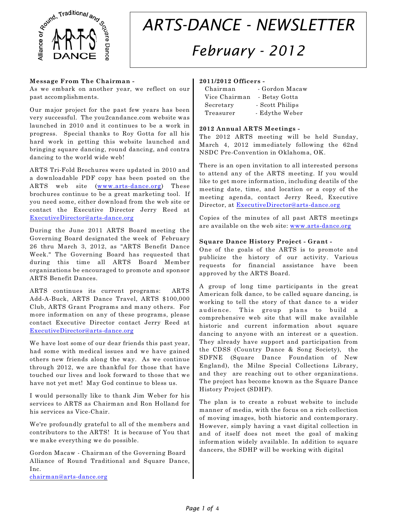

# *ARTS-DANCE - NEWSLETTER February - 2012*

#### **Message From The Chairman -**

As we embark on another year, we reflect on our past accomplishments.

Our major project for the past few years has been very successful. The you2candance.com website was launched in 2010 and it continues to be a work in progress. Special thanks to Roy Gotta for all his hard work in getting this website launched and bringing square dancing, round dancing, and contra dancing to the world wide web!

ARTS Tri-Fold Brochures were updated in 2010 and a downloadable PDF copy has been posted on the ARTS web site ([www.arts-dance.org](http://www.arts-dance.org))) These brochures continue to be a great marketing tool. If you need some, either download from the web site or contact the Executive Director Jerry Reed at [ExecutiveDirector@arts-dance.org](mailto:ExecutiveDirector@arts-dance.org)

During the June 2011 ARTS Board meeting the Governing Board designated the week of February 26 thru March 3, 2012, as "ARTS Benefit Dance Week." The Governing Board has requested that during this time all ARTS Board Member organizations be encouraged to promote and sponsor ARTS Benefit Dances.

ARTS continues its current programs: ARTS Add-A-Buck, ARTS Dance Travel, ARTS \$100,000 Club, ARTS Grant Programs and many others. For more information on any of these programs, please contact Executive Director contact Jerry Reed at [ExecutiveDirector@arts-dance.org](mailto:ExecutiveDirector@arts-dance.org)

We have lost some of our dear friends this past year, had some with medical issues and we have gained others new friends along the way. As we continue through 2012, we are thankful for those that have touched our lives and look forward to those that we have not yet met! May God continue to bless us.

I would personally like to thank Jim Weber for his services to ARTS as Chairman and Ron Holland for his services as Vice-Chair.

We're profoundly grateful to all of the members and contributors to the ARTS! It is because of You that we make everything we do possible.

Gordon Macaw - Chairman of the Governing Board Alliance of Round Traditional and Square Dance, Inc. [chairman@arts-dance.org](mailto:chairman@arts-dance.org)

# **2011/2012 Officers -**

| Chairman      | - Gordon Macaw  |
|---------------|-----------------|
| Vice Chairman | - Betsy Gotta   |
| Secretary     | - Scott Philips |
| Treasurer     | - Edythe Weber  |

#### **2012 Annual ARTS Meetings -**

The 2012 ARTS meeting will be held Sunday, March 4, 2012 immediately following the 62nd NSDC Pre-Convention in Oklahoma, OK.

There is an open invitation to all interested persons to attend any of the ARTS meeting. If you would like to get more information, including deatils of the meeting date, time, and location or a copy of the meeting agenda, contact Jerry Reed, Executive Director, at [ExecutiveDirector@arts-dance.org](mailto:ExecutiveDirector@arts-dance.org)

Copies of the minutes of all past ARTS meetings are available on the web site: [www.arts-dance.org](http://www.arts-dance.org)

#### **Square Dance History Project - Grant -**

One of the goals of the ARTS is to promote and publicize the history of our activity. Various requests for financial assistance have been approved by the ARTS Board.

A group of long time participants in the great American folk dance, to be called square dancing, is working to tell the story of that dance to a wider audience. This group plans to build a comprehensive web site that will make available historic and current information about square dancing to anyone with an interest or a question. They already have support and participation from the CDSS (Country Dance & Song Society), the SDFNE (Square Dance Foundation of New England), the Milne Special Collections Library, and they are reaching out to other organizations. The project has become known as the Square Dance History Project (SDHP).

The plan is to create a robust website to include manner of media, with the focus on a rich collection of moving images, both historic and contemporary. However, simply having a vast digital collection in and of itself does not meet the goal of making information widely available. In addition to square dancers, the SDHP will be working with digital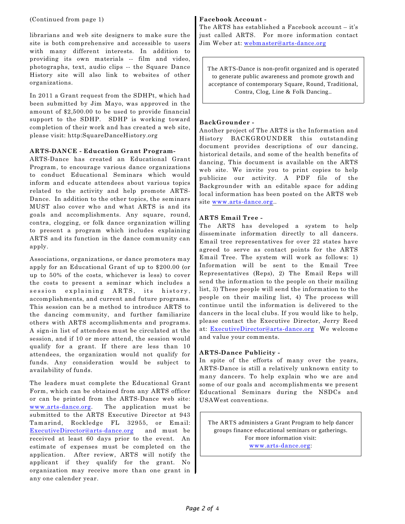#### (Continued from page 1)

librarians and web site designers to make sure the site is both comprehensive and accessible to users with many different interests. In addition to providing its own materials -- film and video, photographs, text, audio clips -- the Square Dance History site will also link to websites of other organizations.

In 2011 a Grant request from the SDHPt, which had been submitted by Jim Mayo, was approved in the amount of \$2,500.00 to be used to provide financial support to the SDHP. SDHP is working toward completion of their work and has created a web site, please visit: http:SquareDanceHistory.org

## **ARTS-DANCE - Education Grant Program-**

ARTS-Dance has created an Educational Grant Program, to encourage various dance organizations to conduct Educational Seminars which would inform and educate attendees about various topics related to the activity and help promote ARTS-Dance. In addition to the other topics, the seminars MUST also cover who and what ARTS is and its goals and accomplishments. Any square, round, contra, clogging, or folk dance organization willing to present a program which includes explaining ARTS and its function in the dance community can apply.

Associations, organizations, or dance promoters may apply for an Educational Grant of up to \$200.00 (or up to 50% of the costs, whichever is less) to cover the costs to present a seminar which includes a session explaining ARTS, its history, accomplishments, and current and future programs. This session can be a method to introduce ARTS to the dancing community, and further familiarize others with ARTS accomplishments and programs. A sign-in list of attendees must be circulated at the session, and if 10 or more attend, the session would qualify for a grant. If there are less than 10 attendees, the organization would not qualify for funds. Any consideration would be subject to availability of funds.

The leaders must complete the Educational Grant Form, which can be obtained from any ARTS officer or can be printed from the ARTS-Dance web site: [www.arts-dance.org](http://www.arts-dance.org). The application must be submitted to the ARTS Executive Director at 943 Tamarind, Rockledge FL 32955, or Email: [ExecutiveDirector@arts-dance.org](mailto:ExecutiveDirector@arts-dance.org) and must be received at least 60 days prior to the event. An estimate of expenses must be completed on the application. After review, ARTS will notify the applicant if they qualify for the grant. No organization may receive more than one grant in any one calender year.

## **Facebook Account -**

The ARTS has established a Facebook account – it's just called ARTS. For more information contact Jim Weber at: [webmaster@arts-dance.org](mailto:webmaster@arts-dance.org)

The ARTS-Dance is non-profit organized and is operated to generate public awareness and promote growth and acceptance of contemporary Square, Round, Traditional, Contra, Clog, Line & Folk Dancing..

## **BackGrounder -**

Another project of The ARTS is the Information and History BACKGROUNDER this outstanding document provides descriptions of our dancing, historical details, and some of the health benefits of dancing, This document is available on the ARTS web site. We invite you to print copies to help publicize our activity. A PDF file of the Backgrounder with an editable space for adding local information has been posted on the ARTS web site [www.arts-dance.org](http://www.arts-dance.org)..

## **ARTS Email Tree -**

The ARTS has developed a system to help disseminate information directly to all dancers. Email tree representatives for over 22 states have agreed to serve as contact points for the ARTS Email Tree. The system will work as follows: 1) Information will be sent to the Email Tree Representatives (Reps), 2) The Email Reps will send the information to the people on their mailing list, 3) These people will send the information to the people on their mailing list, 4) The process will continue until the information is delivered to the dancers in the local clubs. If you would like to help, please contact the Executive Director, Jerry Reed at: [ExecutiveDirector@arts-dance.org](mailto:ExecutiveDirector@arts-dance.org) We welcome and value your comments.

## **ARTS-Dance Publicity -**

In spite of the efforts of many over the years, ARTS-Dance is still a relatively unknown entity to many dancers. To help explain who we are and some of our goals and accomplishments we present Educational Seminars during the NSDCs and USAWest conventions.

The ARTS administers a Grant Program to help dancer groups finance educational seminars or gatherings. For more information visit: [www.arts-dance.org](http://www.arts-dance.org):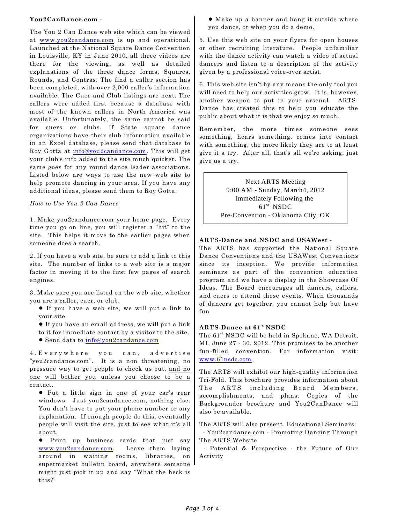#### **You2CanDance.com -**

The You 2 Can Dance web site which can be viewed at www.you2candance.com is up and operational. Launched at the National Square Dance Convention in Louisville, KY in June 2010, all three videos are there for the viewing, as well as detailed explanations of the three dance forms, Squares, Rounds, and Contras. The find a caller section has been completed, with over 2,000 caller's information available. The Cuer and Club listings are next. The callers were added first because a database with most of the known callers in North America was available. Unfortunately, the same cannot be said for cuers or clubs. If State square dance organizations have their club information available in an Excel database, please send that database to Roy Gotta at info@you2candance.com. This will get your club's info added to the site much quicker. The same goes for any round dance leader associations. Listed below are ways to use the new web site to help promote dancing in your area. If you have any additional ideas, please send them to Roy Gotta.

#### *How to Use You 2 Can Dance*

1. Make you2candance.com your home page. Every time you go on line, you will register a "hit" to the site. This helps it move to the earlier pages when someone does a search.

2. If you have a web site, be sure to add a link to this site. The number of links to a web site is a major factor in moving it to the first few pages of search engines.

3. Make sure you are listed on the web site, whether you are a caller, cuer, or club.

- ! If you have a web site, we will put a link to your site.
- ! If you have an email address, we will put a link to it for immediate contact by a visitor to the site.
- ! Send data to info@you2candance.com

4.Everywhere you can, advertise "you2candance.com". It is a non threatening, no pressure way to get people to check us out, and no one will bother you unless you choose to be a contact.

! Put a little sign in one of your car's rear windows. Just you2candance.com, nothing else. You don't have to put your phone number or any explanation. If enough people do this, eventually people will visit the site, just to see what it's all about.

! Print up business cards that just say www.you2candance.com. Leave them laying around in waiting rooms, libraries, on supermarket bulletin board, anywhere someone might just pick it up and say "What the heck is this?"

! Make up a banner and hang it outside where you dance, or when you do a demo.

5. Use this web site on your flyers for open houses or other recruiting literature. People unfamiliar with the dance activity can watch a video of actual dancers and listen to a description of the activity given by a professional voice-over artist.

6. This web site isn't by any means the only tool you will need to help our activities grow. It is, however, another weapon to put in your arsenal. ARTS-Dance has created this to help you educate the public about what it is that we enjoy so much.

Remember, the more times someone sees something, hears something, comes into contact with something, the more likely they are to at least give it a try. After all, that's all we're asking, just give us a try.

> Next ARTS Meeting 9:00 AM - Sunday, March4, 2012 Immediately Following the  $61<sup>st</sup>$  NSDC Pre-Convention - Oklahoma City, OK

# **ARTS-Dance and NSDC and USAWest -**

The ARTS has supported the National Square Dance Conventions and the USAWest Conventions since its inception. We provide information seminars as part of the convention education program and we have a display in the Showcase Of Ideas. The Board encourages all dancers, callers, and cuers to attend these events. When thousands of dancers get together, you cannot help but have fun

## **ARTS-Dance at 61 NSDC -t**

The  $61<sup>st</sup> NSDC$  will be held in Spokane, WA Detroit, MI, June 27 - 30, 2012. This promises to be another fun-filled convention. For information visit: [www.61nsdc.com](http://www.59nsdc.com)

The ARTS will exhibit our high-quality information Tri-Fold. This brochure provides information about The ARTS including Board Members, accomplishments, and plans. Copies of the Backgrounder brochure and You2CanDance will also be available.

The ARTS will also present Educational Seminars: - You2candance.com - Promoting Dancing Through The ARTS Website

 - Potential & Perspective - the Future of Our Activity